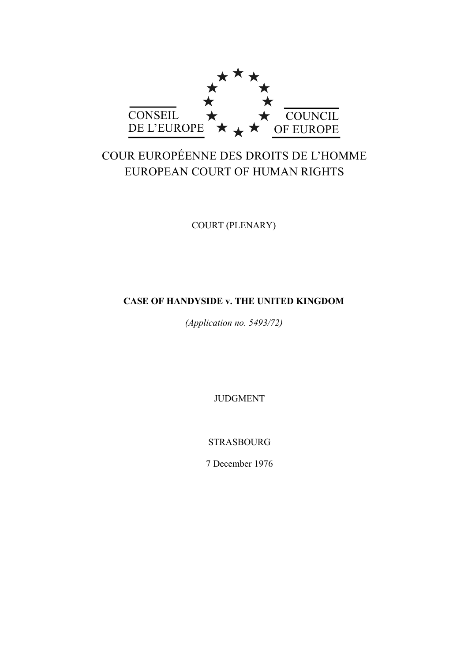

# COUR EUROPÉENNE DES DROITS DE L'HOMME EUROPEAN COURT OF HUMAN RIGHTS

COURT (PLENARY)

# **CASE OF HANDYSIDE v. THE UNITED KINGDOM**

*(Application no. 5493/72)*

JUDGMENT

STRASBOURG

7 December 1976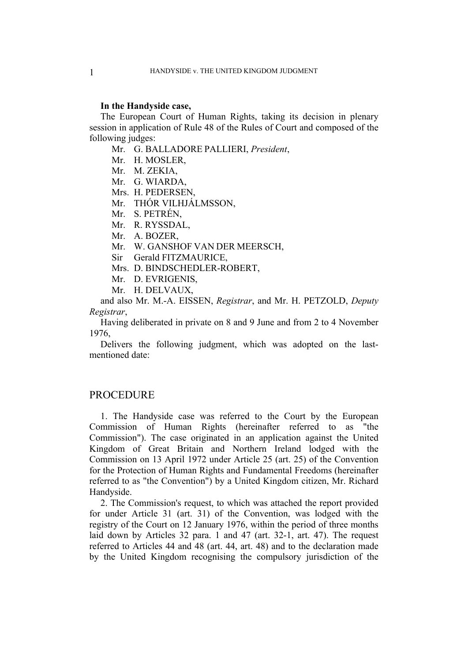### **In the Handyside case,**

The European Court of Human Rights, taking its decision in plenary session in application of Rule 48 of the Rules of Court and composed of the following judges:

Mr. G. BALLADORE PALLIERI, *President*,

Mr. H. MOSLER,

Mr. M. ZEKIA,

Mr. G. WIARDA,

Mrs. H. PEDERSEN,

Mr. THÓR VILHJÁLMSSON,

Mr. S. PETRÉN,

Mr. R. RYSSDAL,

Mr. A. BOZER,

Mr. W. GANSHOF VAN DER MEERSCH,

Sir Gerald FITZMAURICE,

Mrs. D. BINDSCHEDLER-ROBERT,

Mr. D. EVRIGENIS,

Mr. H. DELVAUX,

and also Mr. M.-A. EISSEN, *Registrar*, and Mr. H. PETZOLD, *Deputy Registrar*,

Having deliberated in private on 8 and 9 June and from 2 to 4 November 1976,

Delivers the following judgment, which was adopted on the lastmentioned date:

### **PROCEDURE**

1. The Handyside case was referred to the Court by the European Commission of Human Rights (hereinafter referred to as "the Commission"). The case originated in an application against the United Kingdom of Great Britain and Northern Ireland lodged with the Commission on 13 April 1972 under Article 25 (art. 25) of the Convention for the Protection of Human Rights and Fundamental Freedoms (hereinafter referred to as "the Convention") by a United Kingdom citizen, Mr. Richard Handyside.

2. The Commission's request, to which was attached the report provided for under Article 31 (art. 31) of the Convention, was lodged with the registry of the Court on 12 January 1976, within the period of three months laid down by Articles 32 para. 1 and 47 (art. 32-1, art. 47). The request referred to Articles 44 and 48 (art. 44, art. 48) and to the declaration made by the United Kingdom recognising the compulsory jurisdiction of the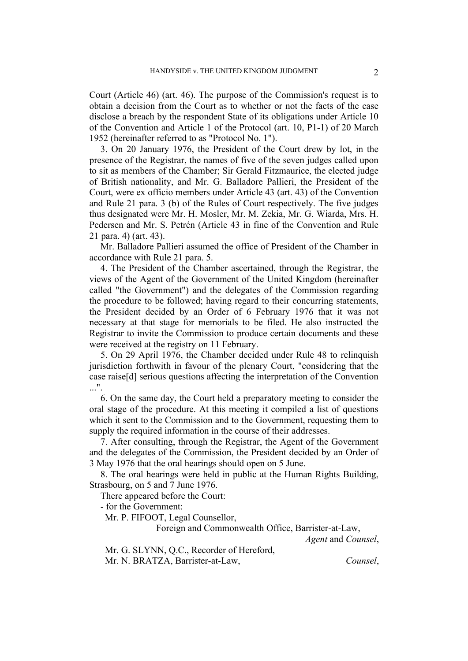Court (Article 46) (art. 46). The purpose of the Commission's request is to obtain a decision from the Court as to whether or not the facts of the case disclose a breach by the respondent State of its obligations under Article 10 of the Convention and Article 1 of the Protocol (art. 10, P1-1) of 20 March 1952 (hereinafter referred to as "Protocol No. 1").

3. On 20 January 1976, the President of the Court drew by lot, in the presence of the Registrar, the names of five of the seven judges called upon to sit as members of the Chamber; Sir Gerald Fitzmaurice, the elected judge of British nationality, and Mr. G. Balladore Pallieri, the President of the Court, were ex officio members under Article 43 (art. 43) of the Convention and Rule 21 para. 3 (b) of the Rules of Court respectively. The five judges thus designated were Mr. H. Mosler, Mr. M. Zekia, Mr. G. Wiarda, Mrs. H. Pedersen and Mr. S. Petrén (Article 43 in fine of the Convention and Rule 21 para. 4) (art. 43).

Mr. Balladore Pallieri assumed the office of President of the Chamber in accordance with Rule 21 para. 5.

4. The President of the Chamber ascertained, through the Registrar, the views of the Agent of the Government of the United Kingdom (hereinafter called "the Government") and the delegates of the Commission regarding the procedure to be followed; having regard to their concurring statements, the President decided by an Order of 6 February 1976 that it was not necessary at that stage for memorials to be filed. He also instructed the Registrar to invite the Commission to produce certain documents and these were received at the registry on 11 February.

5. On 29 April 1976, the Chamber decided under Rule 48 to relinquish jurisdiction forthwith in favour of the plenary Court, "considering that the case raise[d] serious questions affecting the interpretation of the Convention ...".

6. On the same day, the Court held a preparatory meeting to consider the oral stage of the procedure. At this meeting it compiled a list of questions which it sent to the Commission and to the Government, requesting them to supply the required information in the course of their addresses.

7. After consulting, through the Registrar, the Agent of the Government and the delegates of the Commission, the President decided by an Order of 3 May 1976 that the oral hearings should open on 5 June.

8. The oral hearings were held in public at the Human Rights Building, Strasbourg, on 5 and 7 June 1976.

There appeared before the Court:

- for the Government:

Mr. P. FIFOOT, Legal Counsellor,

Foreign and Commonwealth Office, Barrister-at-Law,

*Agent* and *Counsel*,

Mr. G. SLYNN, Q.C., Recorder of Hereford,

Mr. N. BRATZA, Barrister-at-Law, *Counsel*,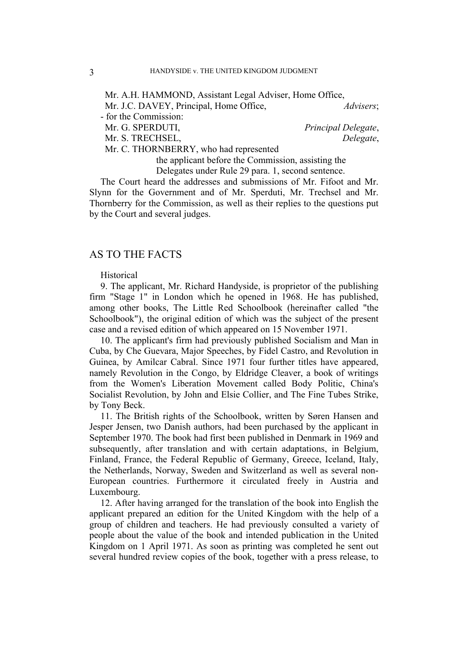Mr. A.H. HAMMOND, Assistant Legal Adviser, Home Office, Mr. J.C. DAVEY, Principal, Home Office, *Advisers*; - for the Commission: Mr. G. SPERDUTI, *Principal Delegate*, Mr. S. TRECHSEL, *Delegate*, Mr. C. THORNBERRY, who had represented the applicant before the Commission, assisting the Delegates under Rule 29 para. 1, second sentence.

The Court heard the addresses and submissions of Mr. Fifoot and Mr. Slynn for the Government and of Mr. Sperduti, Mr. Trechsel and Mr. Thornberry for the Commission, as well as their replies to the questions put by the Court and several judges.

# AS TO THE FACTS

### Historical

9. The applicant, Mr. Richard Handyside, is proprietor of the publishing firm "Stage 1" in London which he opened in 1968. He has published, among other books, The Little Red Schoolbook (hereinafter called "the Schoolbook"), the original edition of which was the subject of the present case and a revised edition of which appeared on 15 November 1971.

10. The applicant's firm had previously published Socialism and Man in Cuba, by Che Guevara, Major Speeches, by Fidel Castro, and Revolution in Guinea, by Amilcar Cabral. Since 1971 four further titles have appeared, namely Revolution in the Congo, by Eldridge Cleaver, a book of writings from the Women's Liberation Movement called Body Politic, China's Socialist Revolution, by John and Elsie Collier, and The Fine Tubes Strike, by Tony Beck.

11. The British rights of the Schoolbook, written by Søren Hansen and Jesper Jensen, two Danish authors, had been purchased by the applicant in September 1970. The book had first been published in Denmark in 1969 and subsequently, after translation and with certain adaptations, in Belgium, Finland, France, the Federal Republic of Germany, Greece, Iceland, Italy, the Netherlands, Norway, Sweden and Switzerland as well as several non-European countries. Furthermore it circulated freely in Austria and Luxembourg.

12. After having arranged for the translation of the book into English the applicant prepared an edition for the United Kingdom with the help of a group of children and teachers. He had previously consulted a variety of people about the value of the book and intended publication in the United Kingdom on 1 April 1971. As soon as printing was completed he sent out several hundred review copies of the book, together with a press release, to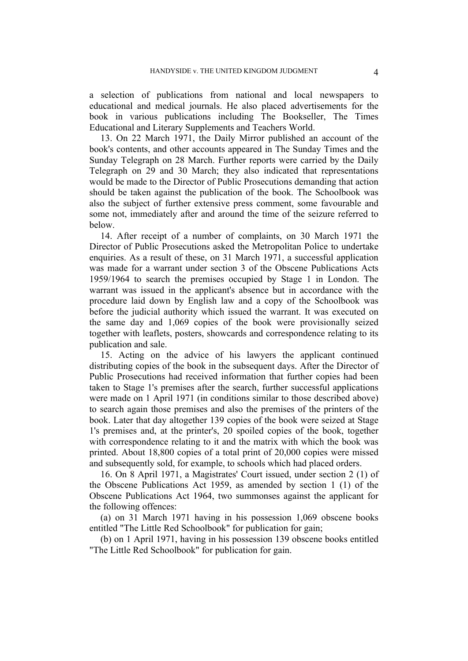a selection of publications from national and local newspapers to educational and medical journals. He also placed advertisements for the book in various publications including The Bookseller, The Times Educational and Literary Supplements and Teachers World.

13. On 22 March 1971, the Daily Mirror published an account of the book's contents, and other accounts appeared in The Sunday Times and the Sunday Telegraph on 28 March. Further reports were carried by the Daily Telegraph on 29 and 30 March; they also indicated that representations would be made to the Director of Public Prosecutions demanding that action should be taken against the publication of the book. The Schoolbook was also the subject of further extensive press comment, some favourable and some not, immediately after and around the time of the seizure referred to below.

14. After receipt of a number of complaints, on 30 March 1971 the Director of Public Prosecutions asked the Metropolitan Police to undertake enquiries. As a result of these, on 31 March 1971, a successful application was made for a warrant under section 3 of the Obscene Publications Acts 1959/1964 to search the premises occupied by Stage 1 in London. The warrant was issued in the applicant's absence but in accordance with the procedure laid down by English law and a copy of the Schoolbook was before the judicial authority which issued the warrant. It was executed on the same day and 1,069 copies of the book were provisionally seized together with leaflets, posters, showcards and correspondence relating to its publication and sale.

15. Acting on the advice of his lawyers the applicant continued distributing copies of the book in the subsequent days. After the Director of Public Prosecutions had received information that further copies had been taken to Stage 1's premises after the search, further successful applications were made on 1 April 1971 (in conditions similar to those described above) to search again those premises and also the premises of the printers of the book. Later that day altogether 139 copies of the book were seized at Stage 1's premises and, at the printer's, 20 spoiled copies of the book, together with correspondence relating to it and the matrix with which the book was printed. About 18,800 copies of a total print of 20,000 copies were missed and subsequently sold, for example, to schools which had placed orders.

16. On 8 April 1971, a Magistrates' Court issued, under section 2 (1) of the Obscene Publications Act 1959, as amended by section 1 (1) of the Obscene Publications Act 1964, two summonses against the applicant for the following offences:

(a) on 31 March 1971 having in his possession 1,069 obscene books entitled "The Little Red Schoolbook" for publication for gain;

(b) on 1 April 1971, having in his possession 139 obscene books entitled "The Little Red Schoolbook" for publication for gain.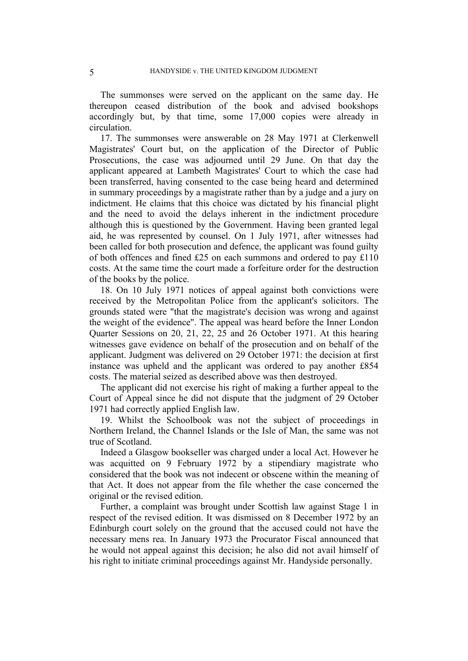The summonses were served on the applicant on the same day. He thereupon ceased distribution of the book and advised bookshops accordingly but, by that time, some 17,000 copies were already in circulation.

17. The summonses were answerable on 28 May 1971 at Clerkenwell Magistrates' Court but, on the application of the Director of Public Prosecutions, the case was adjourned until 29 June. On that day the applicant appeared at Lambeth Magistrates' Court to which the case had been transferred, having consented to the case being heard and determined in summary proceedings by a magistrate rather than by a judge and a jury on indictment. He claims that this choice was dictated by his financial plight and the need to avoid the delays inherent in the indictment procedure although this is questioned by the Government. Having been granted legal aid, he was represented by counsel. On 1 July 1971, after witnesses had been called for both prosecution and defence, the applicant was found guilty of both offences and fined £25 on each summons and ordered to pay £110 costs. At the same time the court made a forfeiture order for the destruction of the books by the police.

18. On 10 July 1971 notices of appeal against both convictions were received by the Metropolitan Police from the applicant's solicitors. The grounds stated were "that the magistrate's decision was wrong and against the weight of the evidence". The appeal was heard before the Inner London Quarter Sessions on 20, 21, 22, 25 and 26 October 1971. At this hearing witnesses gave evidence on behalf of the prosecution and on behalf of the applicant. Judgment was delivered on 29 October 1971: the decision at first instance was upheld and the applicant was ordered to pay another £854 costs. The material seized as described above was then destroyed.

The applicant did not exercise his right of making a further appeal to the Court of Appeal since he did not dispute that the judgment of 29 October 1971 had correctly applied English law.

19. Whilst the Schoolbook was not the subject of proceedings in Northern Ireland, the Channel Islands or the Isle of Man, the same was not true of Scotland.

Indeed a Glasgow bookseller was charged under a local Act. However he was acquitted on 9 February 1972 by a stipendiary magistrate who considered that the book was not indecent or obscene within the meaning of that Act. It does not appear from the file whether the case concerned the original or the revised edition.

Further, a complaint was brought under Scottish law against Stage 1 in respect of the revised edition. It was dismissed on 8 December 1972 by an Edinburgh court solely on the ground that the accused could not have the necessary mens rea. In January 1973 the Procurator Fiscal announced that he would not appeal against this decision; he also did not avail himself of his right to initiate criminal proceedings against Mr. Handyside personally.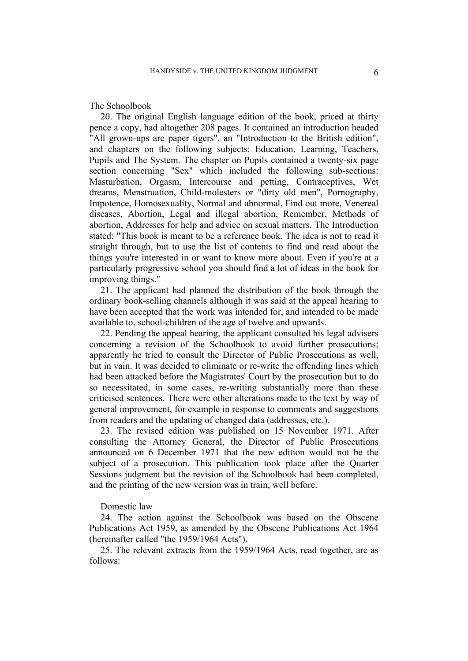The Schoolbook

20. The original English language edition of the book, priced at thirty pence a copy, had altogether 208 pages. It contained an introduction headed "All grown-ups are paper tigers", an "Introduction to the British edition", and chapters on the following subjects: Education, Learning, Teachers, Pupils and The System. The chapter on Pupils contained a twenty-six page section concerning "Sex" which included the following sub-sections: Masturbation, Orgasm, Intercourse and petting, Contraceptives, Wet dreams, Menstruation, Child-molesters or "dirty old men", Pornography, Impotence, Homosexuality, Normal and abnormal, Find out more, Venereal diseases, Abortion, Legal and illegal abortion, Remember, Methods of abortion, Addresses for help and advice on sexual matters. The Introduction stated: "This book is meant to be a reference book. The idea is not to read it straight through, but to use the list of contents to find and read about the things you're interested in or want to know more about. Even if you're at a particularly progressive school you should find a lot of ideas in the book for improving things."

21. The applicant had planned the distribution of the book through the ordinary book-selling channels although it was said at the appeal hearing to have been accepted that the work was intended for, and intended to be made available to, school-children of the age of twelve and upwards.

22. Pending the appeal hearing, the applicant consulted his legal advisers concerning a revision of the Schoolbook to avoid further prosecutions; apparently he tried to consult the Director of Public Prosecutions as well, but in vain. It was decided to eliminate or re-write the offending lines which had been attacked before the Magistrates' Court by the prosecution but to do so necessitated, in some cases, re-writing substantially more than these criticised sentences. There were other alterations made to the text by way of general improvement, for example in response to comments and suggestions from readers and the updating of changed data (addresses, etc.).

23. The revised edition was published on 15 November 1971. After consulting the Attorney General, the Director of Public Prosecutions announced on 6 December 1971 that the new edition would not be the subject of a prosecution. This publication took place after the Quarter Sessions judgment but the revision of the Schoolbook had been completed, and the printing of the new version was in train, well before.

### Domestic law

24. The action against the Schoolbook was based on the Obscene Publications Act 1959, as amended by the Obscene Publications Act 1964 (hereinafter called "the 1959/1964 Acts").

25. The relevant extracts from the 1959/1964 Acts, read together, are as follows: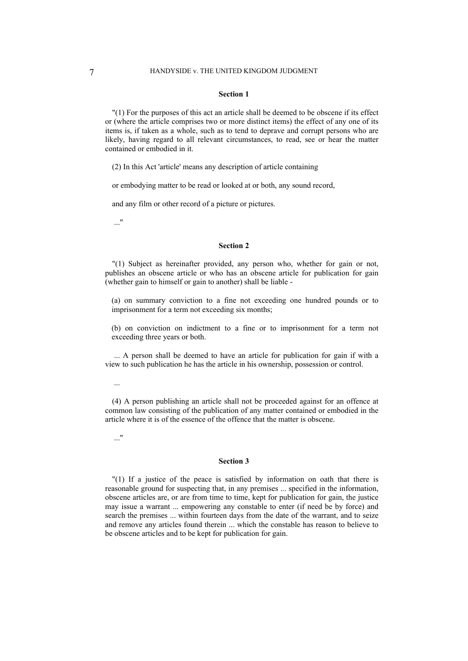#### **Section 1**

"(1) For the purposes of this act an article shall be deemed to be obscene if its effect or (where the article comprises two or more distinct items) the effect of any one of its items is, if taken as a whole, such as to tend to deprave and corrupt persons who are likely, having regard to all relevant circumstances, to read, see or hear the matter contained or embodied in it.

(2) In this Act 'article' means any description of article containing

or embodying matter to be read or looked at or both, any sound record,

and any film or other record of a picture or pictures.

..."

#### **Section 2**

"(1) Subject as hereinafter provided, any person who, whether for gain or not, publishes an obscene article or who has an obscene article for publication for gain (whether gain to himself or gain to another) shall be liable -

(a) on summary conviction to a fine not exceeding one hundred pounds or to imprisonment for a term not exceeding six months;

(b) on conviction on indictment to a fine or to imprisonment for a term not exceeding three years or both.

... A person shall be deemed to have an article for publication for gain if with a view to such publication he has the article in his ownership, possession or control.

...

(4) A person publishing an article shall not be proceeded against for an offence at common law consisting of the publication of any matter contained or embodied in the article where it is of the essence of the offence that the matter is obscene.

..."

#### **Section 3**

"(1) If a justice of the peace is satisfied by information on oath that there is reasonable ground for suspecting that, in any premises ... specified in the information, obscene articles are, or are from time to time, kept for publication for gain, the justice may issue a warrant ... empowering any constable to enter (if need be by force) and search the premises ... within fourteen days from the date of the warrant, and to seize and remove any articles found therein ... which the constable has reason to believe to be obscene articles and to be kept for publication for gain.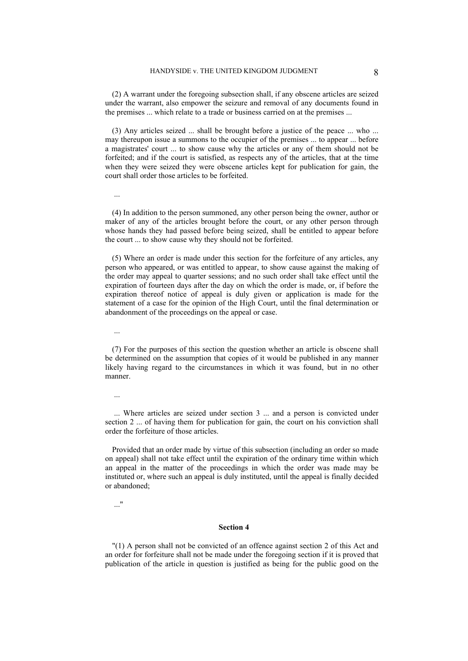(2) A warrant under the foregoing subsection shall, if any obscene articles are seized under the warrant, also empower the seizure and removal of any documents found in the premises ... which relate to a trade or business carried on at the premises ...

(3) Any articles seized ... shall be brought before a justice of the peace ... who ... may thereupon issue a summons to the occupier of the premises ... to appear ... before a magistrates' court ... to show cause why the articles or any of them should not be forfeited; and if the court is satisfied, as respects any of the articles, that at the time when they were seized they were obscene articles kept for publication for gain, the court shall order those articles to be forfeited.

...

(4) In addition to the person summoned, any other person being the owner, author or maker of any of the articles brought before the court, or any other person through whose hands they had passed before being seized, shall be entitled to appear before the court ... to show cause why they should not be forfeited.

(5) Where an order is made under this section for the forfeiture of any articles, any person who appeared, or was entitled to appear, to show cause against the making of the order may appeal to quarter sessions; and no such order shall take effect until the expiration of fourteen days after the day on which the order is made, or, if before the expiration thereof notice of appeal is duly given or application is made for the statement of a case for the opinion of the High Court, until the final determination or abandonment of the proceedings on the appeal or case.

(7) For the purposes of this section the question whether an article is obscene shall be determined on the assumption that copies of it would be published in any manner likely having regard to the circumstances in which it was found, but in no other manner.

...

...

... Where articles are seized under section 3 ... and a person is convicted under section 2 ... of having them for publication for gain, the court on his conviction shall order the forfeiture of those articles.

Provided that an order made by virtue of this subsection (including an order so made on appeal) shall not take effect until the expiration of the ordinary time within which an appeal in the matter of the proceedings in which the order was made may be instituted or, where such an appeal is duly instituted, until the appeal is finally decided or abandoned;

..."

#### **Section 4**

"(1) A person shall not be convicted of an offence against section 2 of this Act and an order for forfeiture shall not be made under the foregoing section if it is proved that publication of the article in question is justified as being for the public good on the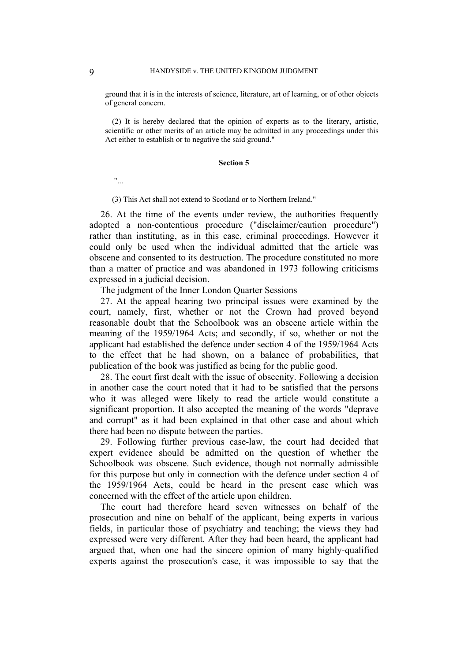ground that it is in the interests of science, literature, art of learning, or of other objects of general concern.

(2) It is hereby declared that the opinion of experts as to the literary, artistic, scientific or other merits of an article may be admitted in any proceedings under this Act either to establish or to negative the said ground."

#### **Section 5**

"...

(3) This Act shall not extend to Scotland or to Northern Ireland."

26. At the time of the events under review, the authorities frequently adopted a non-contentious procedure ("disclaimer/caution procedure") rather than instituting, as in this case, criminal proceedings. However it could only be used when the individual admitted that the article was obscene and consented to its destruction. The procedure constituted no more than a matter of practice and was abandoned in 1973 following criticisms expressed in a judicial decision.

The judgment of the Inner London Quarter Sessions

27. At the appeal hearing two principal issues were examined by the court, namely, first, whether or not the Crown had proved beyond reasonable doubt that the Schoolbook was an obscene article within the meaning of the 1959/1964 Acts; and secondly, if so, whether or not the applicant had established the defence under section 4 of the 1959/1964 Acts to the effect that he had shown, on a balance of probabilities, that publication of the book was justified as being for the public good.

28. The court first dealt with the issue of obscenity. Following a decision in another case the court noted that it had to be satisfied that the persons who it was alleged were likely to read the article would constitute a significant proportion. It also accepted the meaning of the words "deprave and corrupt" as it had been explained in that other case and about which there had been no dispute between the parties.

29. Following further previous case-law, the court had decided that expert evidence should be admitted on the question of whether the Schoolbook was obscene. Such evidence, though not normally admissible for this purpose but only in connection with the defence under section 4 of the 1959/1964 Acts, could be heard in the present case which was concerned with the effect of the article upon children.

The court had therefore heard seven witnesses on behalf of the prosecution and nine on behalf of the applicant, being experts in various fields, in particular those of psychiatry and teaching; the views they had expressed were very different. After they had been heard, the applicant had argued that, when one had the sincere opinion of many highly-qualified experts against the prosecution's case, it was impossible to say that the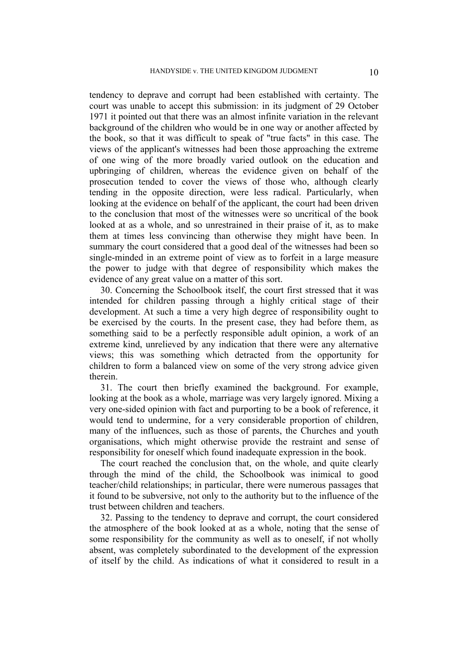tendency to deprave and corrupt had been established with certainty. The court was unable to accept this submission: in its judgment of 29 October 1971 it pointed out that there was an almost infinite variation in the relevant background of the children who would be in one way or another affected by the book, so that it was difficult to speak of "true facts" in this case. The views of the applicant's witnesses had been those approaching the extreme of one wing of the more broadly varied outlook on the education and upbringing of children, whereas the evidence given on behalf of the prosecution tended to cover the views of those who, although clearly tending in the opposite direction, were less radical. Particularly, when looking at the evidence on behalf of the applicant, the court had been driven to the conclusion that most of the witnesses were so uncritical of the book looked at as a whole, and so unrestrained in their praise of it, as to make them at times less convincing than otherwise they might have been. In summary the court considered that a good deal of the witnesses had been so single-minded in an extreme point of view as to forfeit in a large measure the power to judge with that degree of responsibility which makes the evidence of any great value on a matter of this sort.

30. Concerning the Schoolbook itself, the court first stressed that it was intended for children passing through a highly critical stage of their development. At such a time a very high degree of responsibility ought to be exercised by the courts. In the present case, they had before them, as something said to be a perfectly responsible adult opinion, a work of an extreme kind, unrelieved by any indication that there were any alternative views; this was something which detracted from the opportunity for children to form a balanced view on some of the very strong advice given therein.

31. The court then briefly examined the background. For example, looking at the book as a whole, marriage was very largely ignored. Mixing a very one-sided opinion with fact and purporting to be a book of reference, it would tend to undermine, for a very considerable proportion of children, many of the influences, such as those of parents, the Churches and youth organisations, which might otherwise provide the restraint and sense of responsibility for oneself which found inadequate expression in the book.

The court reached the conclusion that, on the whole, and quite clearly through the mind of the child, the Schoolbook was inimical to good teacher/child relationships; in particular, there were numerous passages that it found to be subversive, not only to the authority but to the influence of the trust between children and teachers.

32. Passing to the tendency to deprave and corrupt, the court considered the atmosphere of the book looked at as a whole, noting that the sense of some responsibility for the community as well as to oneself, if not wholly absent, was completely subordinated to the development of the expression of itself by the child. As indications of what it considered to result in a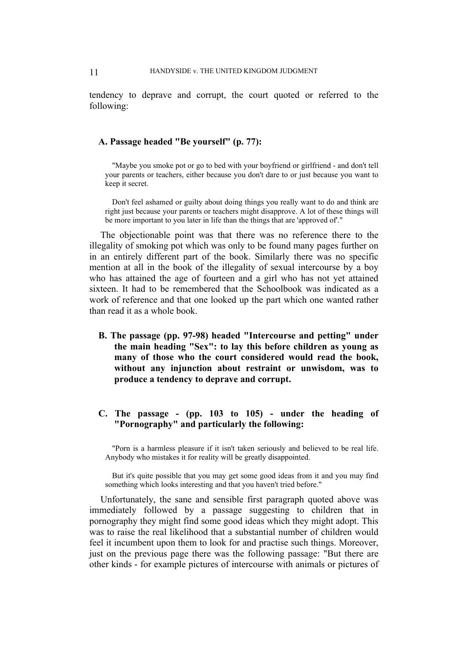tendency to deprave and corrupt, the court quoted or referred to the following:

### **A. Passage headed "Be yourself" (p. 77):**

"Maybe you smoke pot or go to bed with your boyfriend or girlfriend - and don't tell your parents or teachers, either because you don't dare to or just because you want to keep it secret.

Don't feel ashamed or guilty about doing things you really want to do and think are right just because your parents or teachers might disapprove. A lot of these things will be more important to you later in life than the things that are 'approved of'."

The objectionable point was that there was no reference there to the illegality of smoking pot which was only to be found many pages further on in an entirely different part of the book. Similarly there was no specific mention at all in the book of the illegality of sexual intercourse by a boy who has attained the age of fourteen and a girl who has not yet attained sixteen. It had to be remembered that the Schoolbook was indicated as a work of reference and that one looked up the part which one wanted rather than read it as a whole book.

**B. The passage (pp. 97-98) headed "Intercourse and petting" under the main heading "Sex": to lay this before children as young as many of those who the court considered would read the book, without any injunction about restraint or unwisdom, was to produce a tendency to deprave and corrupt.**

# **C. The passage - (pp. 103 to 105) - under the heading of "Pornography" and particularly the following:**

"Porn is a harmless pleasure if it isn't taken seriously and believed to be real life. Anybody who mistakes it for reality will be greatly disappointed.

But it's quite possible that you may get some good ideas from it and you may find something which looks interesting and that you haven't tried before."

Unfortunately, the sane and sensible first paragraph quoted above was immediately followed by a passage suggesting to children that in pornography they might find some good ideas which they might adopt. This was to raise the real likelihood that a substantial number of children would feel it incumbent upon them to look for and practise such things. Moreover, just on the previous page there was the following passage: "But there are other kinds - for example pictures of intercourse with animals or pictures of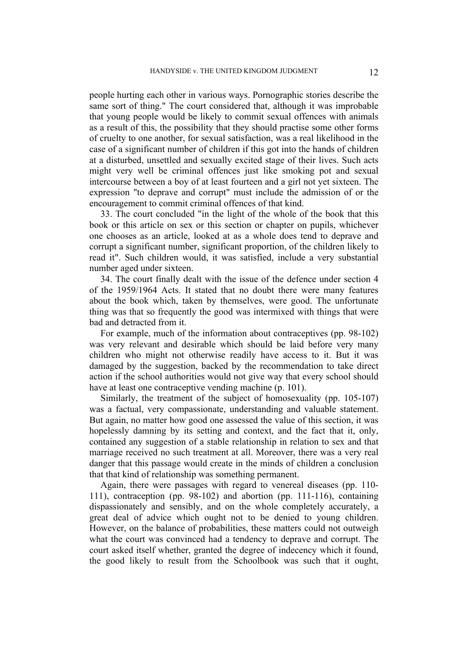people hurting each other in various ways. Pornographic stories describe the same sort of thing." The court considered that, although it was improbable that young people would be likely to commit sexual offences with animals as a result of this, the possibility that they should practise some other forms of cruelty to one another, for sexual satisfaction, was a real likelihood in the case of a significant number of children if this got into the hands of children at a disturbed, unsettled and sexually excited stage of their lives. Such acts might very well be criminal offences just like smoking pot and sexual intercourse between a boy of at least fourteen and a girl not yet sixteen. The expression "to deprave and corrupt" must include the admission of or the encouragement to commit criminal offences of that kind.

33. The court concluded "in the light of the whole of the book that this book or this article on sex or this section or chapter on pupils, whichever one chooses as an article, looked at as a whole does tend to deprave and corrupt a significant number, significant proportion, of the children likely to read it". Such children would, it was satisfied, include a very substantial number aged under sixteen.

34. The court finally dealt with the issue of the defence under section 4 of the 1959/1964 Acts. It stated that no doubt there were many features about the book which, taken by themselves, were good. The unfortunate thing was that so frequently the good was intermixed with things that were bad and detracted from it.

For example, much of the information about contraceptives (pp. 98-102) was very relevant and desirable which should be laid before very many children who might not otherwise readily have access to it. But it was damaged by the suggestion, backed by the recommendation to take direct action if the school authorities would not give way that every school should have at least one contraceptive vending machine (p. 101).

Similarly, the treatment of the subject of homosexuality (pp. 105-107) was a factual, very compassionate, understanding and valuable statement. But again, no matter how good one assessed the value of this section, it was hopelessly damning by its setting and context, and the fact that it, only, contained any suggestion of a stable relationship in relation to sex and that marriage received no such treatment at all. Moreover, there was a very real danger that this passage would create in the minds of children a conclusion that that kind of relationship was something permanent.

Again, there were passages with regard to venereal diseases (pp. 110- 111), contraception (pp. 98-102) and abortion (pp. 111-116), containing dispassionately and sensibly, and on the whole completely accurately, a great deal of advice which ought not to be denied to young children. However, on the balance of probabilities, these matters could not outweigh what the court was convinced had a tendency to deprave and corrupt. The court asked itself whether, granted the degree of indecency which it found, the good likely to result from the Schoolbook was such that it ought,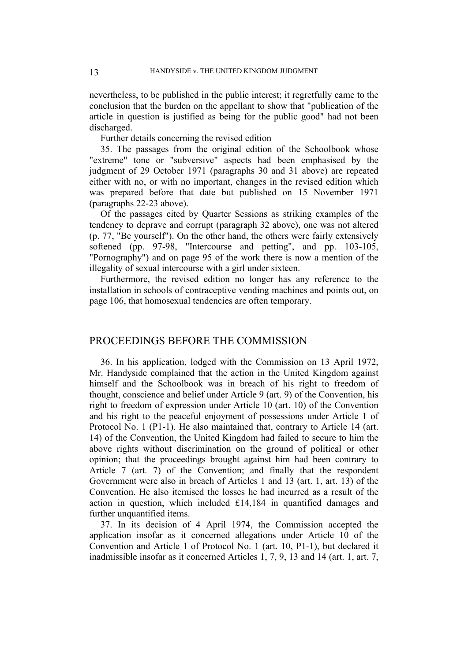nevertheless, to be published in the public interest; it regretfully came to the conclusion that the burden on the appellant to show that "publication of the article in question is justified as being for the public good" had not been discharged.

Further details concerning the revised edition

35. The passages from the original edition of the Schoolbook whose "extreme" tone or "subversive" aspects had been emphasised by the judgment of 29 October 1971 (paragraphs 30 and 31 above) are repeated either with no, or with no important, changes in the revised edition which was prepared before that date but published on 15 November 1971 (paragraphs 22-23 above).

Of the passages cited by Quarter Sessions as striking examples of the tendency to deprave and corrupt (paragraph 32 above), one was not altered (p. 77, "Be yourself"). On the other hand, the others were fairly extensively softened (pp. 97-98, "Intercourse and petting", and pp. 103-105, "Pornography") and on page 95 of the work there is now a mention of the illegality of sexual intercourse with a girl under sixteen.

Furthermore, the revised edition no longer has any reference to the installation in schools of contraceptive vending machines and points out, on page 106, that homosexual tendencies are often temporary.

# PROCEEDINGS BEFORE THE COMMISSION

36. In his application, lodged with the Commission on 13 April 1972, Mr. Handyside complained that the action in the United Kingdom against himself and the Schoolbook was in breach of his right to freedom of thought, conscience and belief under Article 9 (art. 9) of the Convention, his right to freedom of expression under Article 10 (art. 10) of the Convention and his right to the peaceful enjoyment of possessions under Article 1 of Protocol No. 1 (P1-1). He also maintained that, contrary to Article 14 (art. 14) of the Convention, the United Kingdom had failed to secure to him the above rights without discrimination on the ground of political or other opinion; that the proceedings brought against him had been contrary to Article 7 (art. 7) of the Convention; and finally that the respondent Government were also in breach of Articles 1 and 13 (art. 1, art. 13) of the Convention. He also itemised the losses he had incurred as a result of the action in question, which included £14,184 in quantified damages and further unquantified items.

37. In its decision of 4 April 1974, the Commission accepted the application insofar as it concerned allegations under Article 10 of the Convention and Article 1 of Protocol No. 1 (art. 10, P1-1), but declared it inadmissible insofar as it concerned Articles 1, 7, 9, 13 and 14 (art. 1, art. 7,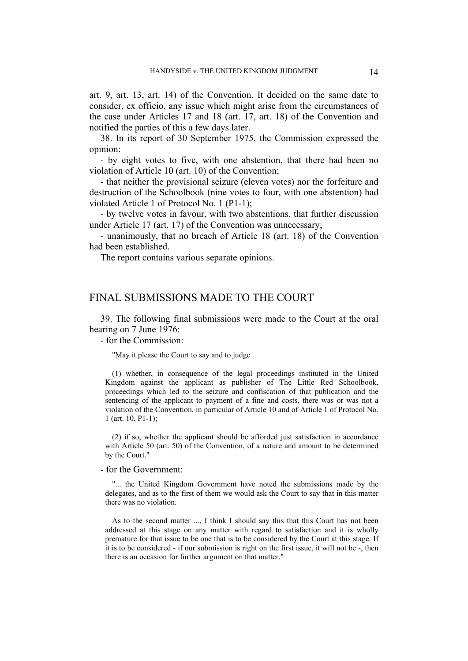art. 9, art. 13, art. 14) of the Convention. It decided on the same date to consider, ex officio, any issue which might arise from the circumstances of the case under Articles 17 and 18 (art. 17, art. 18) of the Convention and notified the parties of this a few days later.

38. In its report of 30 September 1975, the Commission expressed the opinion:

- by eight votes to five, with one abstention, that there had been no violation of Article 10 (art. 10) of the Convention;

- that neither the provisional seizure (eleven votes) nor the forfeiture and destruction of the Schoolbook (nine votes to four, with one abstention) had violated Article 1 of Protocol No. 1 (P1-1);

- by twelve votes in favour, with two abstentions, that further discussion under Article 17 (art. 17) of the Convention was unnecessary;

- unanimously, that no breach of Article 18 (art. 18) of the Convention had been established.

The report contains various separate opinions.

# FINAL SUBMISSIONS MADE TO THE COURT

39. The following final submissions were made to the Court at the oral hearing on 7 June 1976:

- for the Commission:

"May it please the Court to say and to judge

(1) whether, in consequence of the legal proceedings instituted in the United Kingdom against the applicant as publisher of The Little Red Schoolbook, proceedings which led to the seizure and confiscation of that publication and the sentencing of the applicant to payment of a fine and costs, there was or was not a violation of the Convention, in particular of Article 10 and of Article 1 of Protocol No. 1 (art. 10, P1-1);

(2) if so, whether the applicant should be afforded just satisfaction in accordance with Article 50 (art. 50) of the Convention, of a nature and amount to be determined by the Court."

#### - for the Government:

"... the United Kingdom Government have noted the submissions made by the delegates, and as to the first of them we would ask the Court to say that in this matter there was no violation.

As to the second matter ..., I think I should say this that this Court has not been addressed at this stage on any matter with regard to satisfaction and it is wholly premature for that issue to be one that is to be considered by the Court at this stage. If it is to be considered - if our submission is right on the first issue, it will not be -, then there is an occasion for further argument on that matter."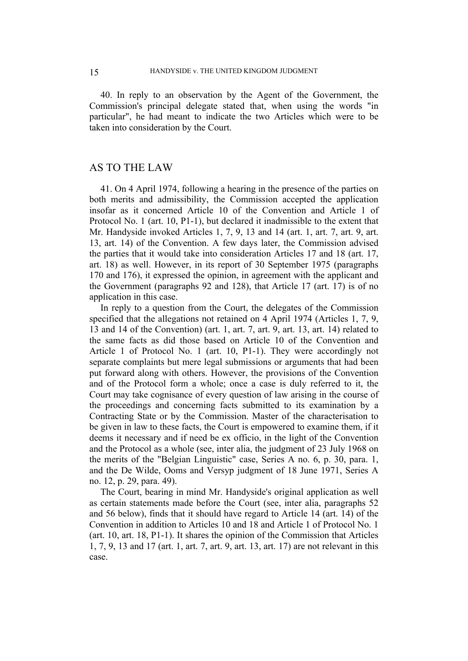40. In reply to an observation by the Agent of the Government, the Commission's principal delegate stated that, when using the words "in particular", he had meant to indicate the two Articles which were to be taken into consideration by the Court.

# AS TO THE LAW

41. On 4 April 1974, following a hearing in the presence of the parties on both merits and admissibility, the Commission accepted the application insofar as it concerned Article 10 of the Convention and Article 1 of Protocol No. 1 (art. 10, P1-1), but declared it inadmissible to the extent that Mr. Handyside invoked Articles 1, 7, 9, 13 and 14 (art. 1, art. 7, art. 9, art. 13, art. 14) of the Convention. A few days later, the Commission advised the parties that it would take into consideration Articles 17 and 18 (art. 17, art. 18) as well. However, in its report of 30 September 1975 (paragraphs 170 and 176), it expressed the opinion, in agreement with the applicant and the Government (paragraphs 92 and 128), that Article 17 (art. 17) is of no application in this case.

In reply to a question from the Court, the delegates of the Commission specified that the allegations not retained on 4 April 1974 (Articles 1, 7, 9, 13 and 14 of the Convention) (art. 1, art. 7, art. 9, art. 13, art. 14) related to the same facts as did those based on Article 10 of the Convention and Article 1 of Protocol No. 1 (art. 10, P1-1). They were accordingly not separate complaints but mere legal submissions or arguments that had been put forward along with others. However, the provisions of the Convention and of the Protocol form a whole; once a case is duly referred to it, the Court may take cognisance of every question of law arising in the course of the proceedings and concerning facts submitted to its examination by a Contracting State or by the Commission. Master of the characterisation to be given in law to these facts, the Court is empowered to examine them, if it deems it necessary and if need be ex officio, in the light of the Convention and the Protocol as a whole (see, inter alia, the judgment of 23 July 1968 on the merits of the "Belgian Linguistic" case, Series A no. 6, p. 30, para. 1, and the De Wilde, Ooms and Versyp judgment of 18 June 1971, Series A no. 12, p. 29, para. 49).

The Court, bearing in mind Mr. Handyside's original application as well as certain statements made before the Court (see, inter alia, paragraphs 52 and 56 below), finds that it should have regard to Article 14 (art. 14) of the Convention in addition to Articles 10 and 18 and Article 1 of Protocol No. 1 (art. 10, art. 18, P1-1). It shares the opinion of the Commission that Articles 1, 7, 9, 13 and 17 (art. 1, art. 7, art. 9, art. 13, art. 17) are not relevant in this case.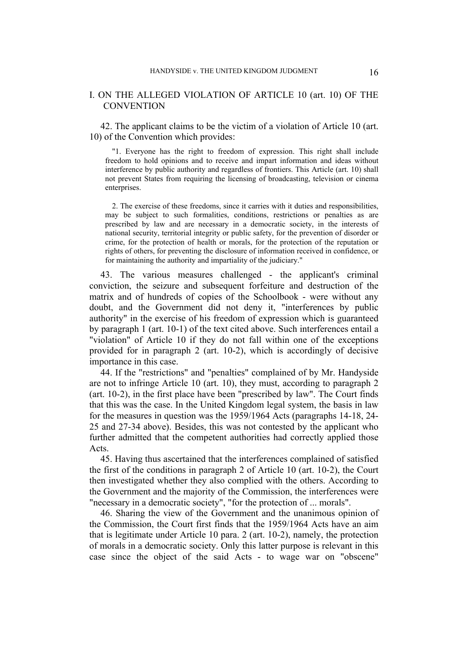# I. ON THE ALLEGED VIOLATION OF ARTICLE 10 (art. 10) OF THE **CONVENTION**

42. The applicant claims to be the victim of a violation of Article 10 (art. 10) of the Convention which provides:

"1. Everyone has the right to freedom of expression. This right shall include freedom to hold opinions and to receive and impart information and ideas without interference by public authority and regardless of frontiers. This Article (art. 10) shall not prevent States from requiring the licensing of broadcasting, television or cinema enterprises.

2. The exercise of these freedoms, since it carries with it duties and responsibilities, may be subject to such formalities, conditions, restrictions or penalties as are prescribed by law and are necessary in a democratic society, in the interests of national security, territorial integrity or public safety, for the prevention of disorder or crime, for the protection of health or morals, for the protection of the reputation or rights of others, for preventing the disclosure of information received in confidence, or for maintaining the authority and impartiality of the judiciary."

43. The various measures challenged - the applicant's criminal conviction, the seizure and subsequent forfeiture and destruction of the matrix and of hundreds of copies of the Schoolbook - were without any doubt, and the Government did not deny it, "interferences by public authority" in the exercise of his freedom of expression which is guaranteed by paragraph 1 (art. 10-1) of the text cited above. Such interferences entail a "violation" of Article 10 if they do not fall within one of the exceptions provided for in paragraph 2 (art. 10-2), which is accordingly of decisive importance in this case.

44. If the "restrictions" and "penalties" complained of by Mr. Handyside are not to infringe Article 10 (art. 10), they must, according to paragraph 2 (art. 10-2), in the first place have been "prescribed by law". The Court finds that this was the case. In the United Kingdom legal system, the basis in law for the measures in question was the 1959/1964 Acts (paragraphs 14-18, 24- 25 and 27-34 above). Besides, this was not contested by the applicant who further admitted that the competent authorities had correctly applied those Acts.

45. Having thus ascertained that the interferences complained of satisfied the first of the conditions in paragraph 2 of Article 10 (art. 10-2), the Court then investigated whether they also complied with the others. According to the Government and the majority of the Commission, the interferences were "necessary in a democratic society", "for the protection of ... morals".

46. Sharing the view of the Government and the unanimous opinion of the Commission, the Court first finds that the 1959/1964 Acts have an aim that is legitimate under Article 10 para. 2 (art. 10-2), namely, the protection of morals in a democratic society. Only this latter purpose is relevant in this case since the object of the said Acts - to wage war on "obscene"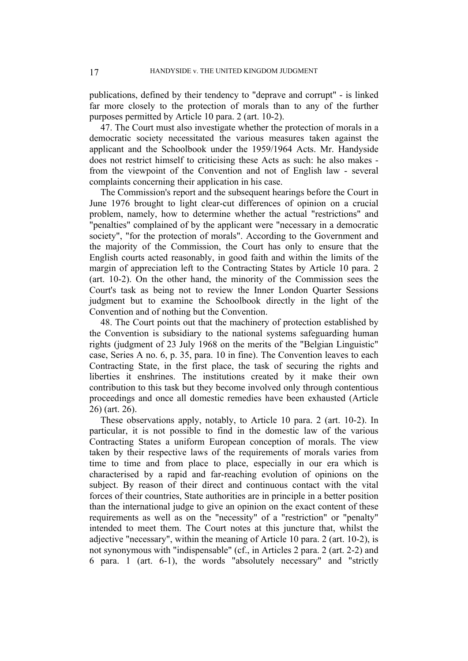publications, defined by their tendency to "deprave and corrupt" - is linked far more closely to the protection of morals than to any of the further purposes permitted by Article 10 para. 2 (art. 10-2).

47. The Court must also investigate whether the protection of morals in a democratic society necessitated the various measures taken against the applicant and the Schoolbook under the 1959/1964 Acts. Mr. Handyside does not restrict himself to criticising these Acts as such: he also makes from the viewpoint of the Convention and not of English law - several complaints concerning their application in his case.

The Commission's report and the subsequent hearings before the Court in June 1976 brought to light clear-cut differences of opinion on a crucial problem, namely, how to determine whether the actual "restrictions" and "penalties" complained of by the applicant were "necessary in a democratic society", "for the protection of morals". According to the Government and the majority of the Commission, the Court has only to ensure that the English courts acted reasonably, in good faith and within the limits of the margin of appreciation left to the Contracting States by Article 10 para. 2 (art. 10-2). On the other hand, the minority of the Commission sees the Court's task as being not to review the Inner London Quarter Sessions judgment but to examine the Schoolbook directly in the light of the Convention and of nothing but the Convention.

48. The Court points out that the machinery of protection established by the Convention is subsidiary to the national systems safeguarding human rights (judgment of 23 July 1968 on the merits of the "Belgian Linguistic" case, Series A no. 6, p. 35, para. 10 in fine). The Convention leaves to each Contracting State, in the first place, the task of securing the rights and liberties it enshrines. The institutions created by it make their own contribution to this task but they become involved only through contentious proceedings and once all domestic remedies have been exhausted (Article 26) (art. 26).

These observations apply, notably, to Article 10 para. 2 (art. 10-2). In particular, it is not possible to find in the domestic law of the various Contracting States a uniform European conception of morals. The view taken by their respective laws of the requirements of morals varies from time to time and from place to place, especially in our era which is characterised by a rapid and far-reaching evolution of opinions on the subject. By reason of their direct and continuous contact with the vital forces of their countries, State authorities are in principle in a better position than the international judge to give an opinion on the exact content of these requirements as well as on the "necessity" of a "restriction" or "penalty" intended to meet them. The Court notes at this juncture that, whilst the adjective "necessary", within the meaning of Article 10 para. 2 (art. 10-2), is not synonymous with "indispensable" (cf., in Articles 2 para. 2 (art. 2-2) and 6 para. 1 (art. 6-1), the words "absolutely necessary" and "strictly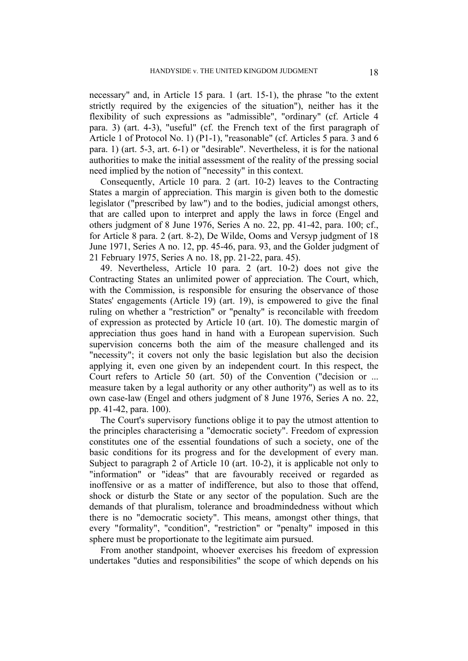necessary" and, in Article 15 para. 1 (art. 15-1), the phrase "to the extent strictly required by the exigencies of the situation"), neither has it the flexibility of such expressions as "admissible", "ordinary" (cf. Article 4 para. 3) (art. 4-3), "useful" (cf. the French text of the first paragraph of Article 1 of Protocol No. 1) (P1-1), "reasonable" (cf. Articles 5 para. 3 and 6 para. 1) (art. 5-3, art. 6-1) or "desirable". Nevertheless, it is for the national authorities to make the initial assessment of the reality of the pressing social need implied by the notion of "necessity" in this context.

Consequently, Article 10 para. 2 (art. 10-2) leaves to the Contracting States a margin of appreciation. This margin is given both to the domestic legislator ("prescribed by law") and to the bodies, judicial amongst others, that are called upon to interpret and apply the laws in force (Engel and others judgment of 8 June 1976, Series A no. 22, pp. 41-42, para. 100; cf., for Article 8 para. 2 (art. 8-2), De Wilde, Ooms and Versyp judgment of 18 June 1971, Series A no. 12, pp. 45-46, para. 93, and the Golder judgment of 21 February 1975, Series A no. 18, pp. 21-22, para. 45).

49. Nevertheless, Article 10 para. 2 (art. 10-2) does not give the Contracting States an unlimited power of appreciation. The Court, which, with the Commission, is responsible for ensuring the observance of those States' engagements (Article 19) (art. 19), is empowered to give the final ruling on whether a "restriction" or "penalty" is reconcilable with freedom of expression as protected by Article 10 (art. 10). The domestic margin of appreciation thus goes hand in hand with a European supervision. Such supervision concerns both the aim of the measure challenged and its "necessity"; it covers not only the basic legislation but also the decision applying it, even one given by an independent court. In this respect, the Court refers to Article 50 (art. 50) of the Convention ("decision or ... measure taken by a legal authority or any other authority") as well as to its own case-law (Engel and others judgment of 8 June 1976, Series A no. 22, pp. 41-42, para. 100).

The Court's supervisory functions oblige it to pay the utmost attention to the principles characterising a "democratic society". Freedom of expression constitutes one of the essential foundations of such a society, one of the basic conditions for its progress and for the development of every man. Subject to paragraph 2 of Article 10 (art. 10-2), it is applicable not only to "information" or "ideas" that are favourably received or regarded as inoffensive or as a matter of indifference, but also to those that offend, shock or disturb the State or any sector of the population. Such are the demands of that pluralism, tolerance and broadmindedness without which there is no "democratic society". This means, amongst other things, that every "formality", "condition", "restriction" or "penalty" imposed in this sphere must be proportionate to the legitimate aim pursued.

From another standpoint, whoever exercises his freedom of expression undertakes "duties and responsibilities" the scope of which depends on his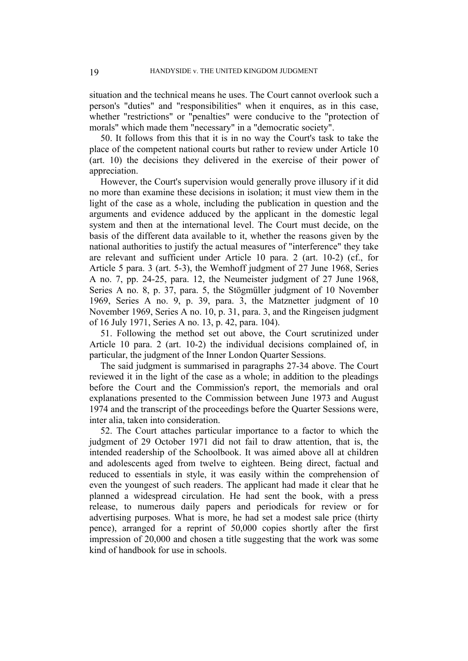situation and the technical means he uses. The Court cannot overlook such a person's "duties" and "responsibilities" when it enquires, as in this case, whether "restrictions" or "penalties" were conducive to the "protection of morals" which made them "necessary" in a "democratic society".

50. It follows from this that it is in no way the Court's task to take the place of the competent national courts but rather to review under Article 10 (art. 10) the decisions they delivered in the exercise of their power of appreciation.

However, the Court's supervision would generally prove illusory if it did no more than examine these decisions in isolation; it must view them in the light of the case as a whole, including the publication in question and the arguments and evidence adduced by the applicant in the domestic legal system and then at the international level. The Court must decide, on the basis of the different data available to it, whether the reasons given by the national authorities to justify the actual measures of "interference" they take are relevant and sufficient under Article 10 para. 2 (art. 10-2) (cf., for Article 5 para. 3 (art. 5-3), the Wemhoff judgment of 27 June 1968, Series A no. 7, pp. 24-25, para. 12, the Neumeister judgment of 27 June 1968, Series A no. 8, p. 37, para. 5, the Stögmüller judgment of 10 November 1969, Series A no. 9, p. 39, para. 3, the Matznetter judgment of 10 November 1969, Series A no. 10, p. 31, para. 3, and the Ringeisen judgment of 16 July 1971, Series A no. 13, p. 42, para. 104).

51. Following the method set out above, the Court scrutinized under Article 10 para. 2 (art. 10-2) the individual decisions complained of, in particular, the judgment of the Inner London Quarter Sessions.

The said judgment is summarised in paragraphs 27-34 above. The Court reviewed it in the light of the case as a whole; in addition to the pleadings before the Court and the Commission's report, the memorials and oral explanations presented to the Commission between June 1973 and August 1974 and the transcript of the proceedings before the Quarter Sessions were, inter alia, taken into consideration.

52. The Court attaches particular importance to a factor to which the judgment of 29 October 1971 did not fail to draw attention, that is, the intended readership of the Schoolbook. It was aimed above all at children and adolescents aged from twelve to eighteen. Being direct, factual and reduced to essentials in style, it was easily within the comprehension of even the youngest of such readers. The applicant had made it clear that he planned a widespread circulation. He had sent the book, with a press release, to numerous daily papers and periodicals for review or for advertising purposes. What is more, he had set a modest sale price (thirty pence), arranged for a reprint of 50,000 copies shortly after the first impression of 20,000 and chosen a title suggesting that the work was some kind of handbook for use in schools.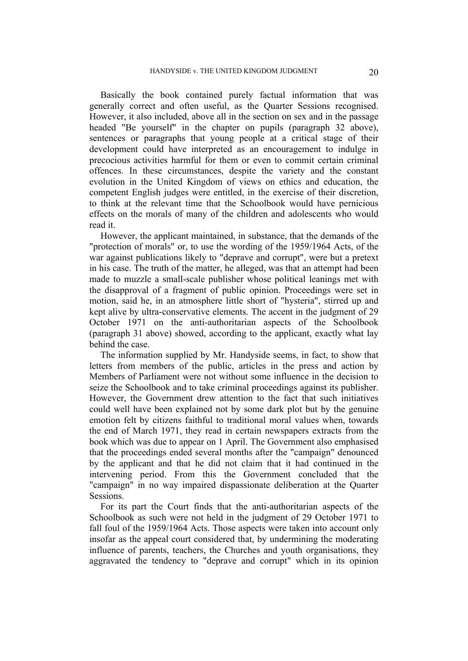Basically the book contained purely factual information that was generally correct and often useful, as the Quarter Sessions recognised. However, it also included, above all in the section on sex and in the passage headed "Be yourself" in the chapter on pupils (paragraph 32 above). sentences or paragraphs that young people at a critical stage of their development could have interpreted as an encouragement to indulge in precocious activities harmful for them or even to commit certain criminal offences. In these circumstances, despite the variety and the constant evolution in the United Kingdom of views on ethics and education, the competent English judges were entitled, in the exercise of their discretion, to think at the relevant time that the Schoolbook would have pernicious effects on the morals of many of the children and adolescents who would read it.

However, the applicant maintained, in substance, that the demands of the "protection of morals" or, to use the wording of the 1959/1964 Acts, of the war against publications likely to "deprave and corrupt", were but a pretext in his case. The truth of the matter, he alleged, was that an attempt had been made to muzzle a small-scale publisher whose political leanings met with the disapproval of a fragment of public opinion. Proceedings were set in motion, said he, in an atmosphere little short of "hysteria", stirred up and kept alive by ultra-conservative elements. The accent in the judgment of 29 October 1971 on the anti-authoritarian aspects of the Schoolbook (paragraph 31 above) showed, according to the applicant, exactly what lay behind the case.

The information supplied by Mr. Handyside seems, in fact, to show that letters from members of the public, articles in the press and action by Members of Parliament were not without some influence in the decision to seize the Schoolbook and to take criminal proceedings against its publisher. However, the Government drew attention to the fact that such initiatives could well have been explained not by some dark plot but by the genuine emotion felt by citizens faithful to traditional moral values when, towards the end of March 1971, they read in certain newspapers extracts from the book which was due to appear on 1 April. The Government also emphasised that the proceedings ended several months after the "campaign" denounced by the applicant and that he did not claim that it had continued in the intervening period. From this the Government concluded that the "campaign" in no way impaired dispassionate deliberation at the Quarter Sessions.

For its part the Court finds that the anti-authoritarian aspects of the Schoolbook as such were not held in the judgment of 29 October 1971 to fall foul of the 1959/1964 Acts. Those aspects were taken into account only insofar as the appeal court considered that, by undermining the moderating influence of parents, teachers, the Churches and youth organisations, they aggravated the tendency to "deprave and corrupt" which in its opinion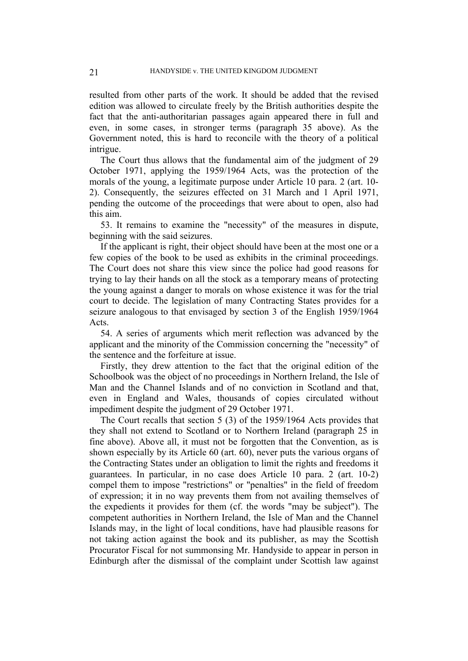resulted from other parts of the work. It should be added that the revised edition was allowed to circulate freely by the British authorities despite the fact that the anti-authoritarian passages again appeared there in full and even, in some cases, in stronger terms (paragraph 35 above). As the Government noted, this is hard to reconcile with the theory of a political intrigue.

The Court thus allows that the fundamental aim of the judgment of 29 October 1971, applying the 1959/1964 Acts, was the protection of the morals of the young, a legitimate purpose under Article 10 para. 2 (art. 10- 2). Consequently, the seizures effected on 31 March and 1 April 1971, pending the outcome of the proceedings that were about to open, also had this aim.

53. It remains to examine the "necessity" of the measures in dispute, beginning with the said seizures.

If the applicant is right, their object should have been at the most one or a few copies of the book to be used as exhibits in the criminal proceedings. The Court does not share this view since the police had good reasons for trying to lay their hands on all the stock as a temporary means of protecting the young against a danger to morals on whose existence it was for the trial court to decide. The legislation of many Contracting States provides for a seizure analogous to that envisaged by section 3 of the English 1959/1964 Acts.

54. A series of arguments which merit reflection was advanced by the applicant and the minority of the Commission concerning the "necessity" of the sentence and the forfeiture at issue.

Firstly, they drew attention to the fact that the original edition of the Schoolbook was the object of no proceedings in Northern Ireland, the Isle of Man and the Channel Islands and of no conviction in Scotland and that, even in England and Wales, thousands of copies circulated without impediment despite the judgment of 29 October 1971.

The Court recalls that section 5 (3) of the 1959/1964 Acts provides that they shall not extend to Scotland or to Northern Ireland (paragraph 25 in fine above). Above all, it must not be forgotten that the Convention, as is shown especially by its Article 60 (art. 60), never puts the various organs of the Contracting States under an obligation to limit the rights and freedoms it guarantees. In particular, in no case does Article 10 para. 2 (art. 10-2) compel them to impose "restrictions" or "penalties" in the field of freedom of expression; it in no way prevents them from not availing themselves of the expedients it provides for them (cf. the words "may be subject"). The competent authorities in Northern Ireland, the Isle of Man and the Channel Islands may, in the light of local conditions, have had plausible reasons for not taking action against the book and its publisher, as may the Scottish Procurator Fiscal for not summonsing Mr. Handyside to appear in person in Edinburgh after the dismissal of the complaint under Scottish law against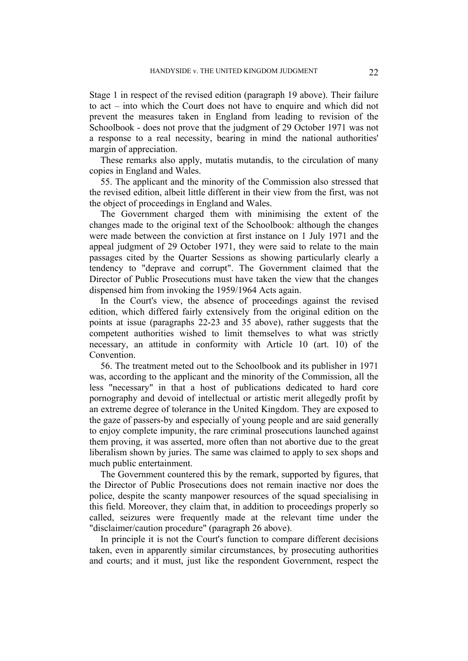Stage 1 in respect of the revised edition (paragraph 19 above). Their failure to act – into which the Court does not have to enquire and which did not prevent the measures taken in England from leading to revision of the Schoolbook - does not prove that the judgment of 29 October 1971 was not a response to a real necessity, bearing in mind the national authorities' margin of appreciation.

These remarks also apply, mutatis mutandis, to the circulation of many copies in England and Wales.

55. The applicant and the minority of the Commission also stressed that the revised edition, albeit little different in their view from the first, was not the object of proceedings in England and Wales.

The Government charged them with minimising the extent of the changes made to the original text of the Schoolbook: although the changes were made between the conviction at first instance on 1 July 1971 and the appeal judgment of 29 October 1971, they were said to relate to the main passages cited by the Quarter Sessions as showing particularly clearly a tendency to "deprave and corrupt". The Government claimed that the Director of Public Prosecutions must have taken the view that the changes dispensed him from invoking the 1959/1964 Acts again.

In the Court's view, the absence of proceedings against the revised edition, which differed fairly extensively from the original edition on the points at issue (paragraphs 22-23 and 35 above), rather suggests that the competent authorities wished to limit themselves to what was strictly necessary, an attitude in conformity with Article 10 (art. 10) of the **Convention** 

56. The treatment meted out to the Schoolbook and its publisher in 1971 was, according to the applicant and the minority of the Commission, all the less "necessary" in that a host of publications dedicated to hard core pornography and devoid of intellectual or artistic merit allegedly profit by an extreme degree of tolerance in the United Kingdom. They are exposed to the gaze of passers-by and especially of young people and are said generally to enjoy complete impunity, the rare criminal prosecutions launched against them proving, it was asserted, more often than not abortive due to the great liberalism shown by juries. The same was claimed to apply to sex shops and much public entertainment.

The Government countered this by the remark, supported by figures, that the Director of Public Prosecutions does not remain inactive nor does the police, despite the scanty manpower resources of the squad specialising in this field. Moreover, they claim that, in addition to proceedings properly so called, seizures were frequently made at the relevant time under the "disclaimer/caution procedure" (paragraph 26 above).

In principle it is not the Court's function to compare different decisions taken, even in apparently similar circumstances, by prosecuting authorities and courts; and it must, just like the respondent Government, respect the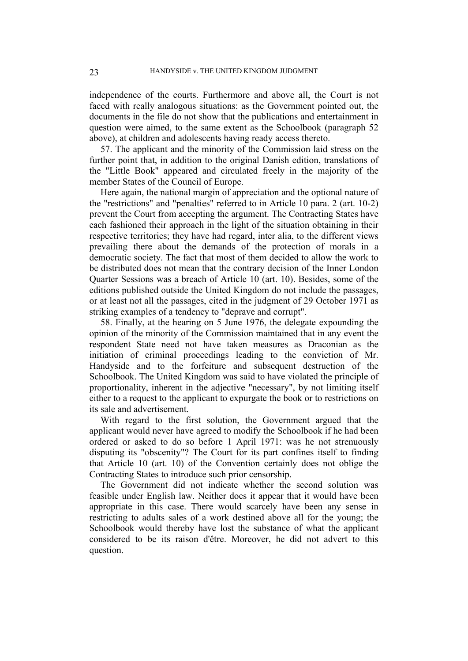independence of the courts. Furthermore and above all, the Court is not faced with really analogous situations: as the Government pointed out, the documents in the file do not show that the publications and entertainment in question were aimed, to the same extent as the Schoolbook (paragraph 52 above), at children and adolescents having ready access thereto.

57. The applicant and the minority of the Commission laid stress on the further point that, in addition to the original Danish edition, translations of the "Little Book" appeared and circulated freely in the majority of the member States of the Council of Europe.

Here again, the national margin of appreciation and the optional nature of the "restrictions" and "penalties" referred to in Article 10 para. 2 (art. 10-2) prevent the Court from accepting the argument. The Contracting States have each fashioned their approach in the light of the situation obtaining in their respective territories; they have had regard, inter alia, to the different views prevailing there about the demands of the protection of morals in a democratic society. The fact that most of them decided to allow the work to be distributed does not mean that the contrary decision of the Inner London Quarter Sessions was a breach of Article 10 (art. 10). Besides, some of the editions published outside the United Kingdom do not include the passages, or at least not all the passages, cited in the judgment of 29 October 1971 as striking examples of a tendency to "deprave and corrupt".

58. Finally, at the hearing on 5 June 1976, the delegate expounding the opinion of the minority of the Commission maintained that in any event the respondent State need not have taken measures as Draconian as the initiation of criminal proceedings leading to the conviction of Mr. Handyside and to the forfeiture and subsequent destruction of the Schoolbook. The United Kingdom was said to have violated the principle of proportionality, inherent in the adjective "necessary", by not limiting itself either to a request to the applicant to expurgate the book or to restrictions on its sale and advertisement.

With regard to the first solution, the Government argued that the applicant would never have agreed to modify the Schoolbook if he had been ordered or asked to do so before 1 April 1971: was he not strenuously disputing its "obscenity"? The Court for its part confines itself to finding that Article 10 (art. 10) of the Convention certainly does not oblige the Contracting States to introduce such prior censorship.

The Government did not indicate whether the second solution was feasible under English law. Neither does it appear that it would have been appropriate in this case. There would scarcely have been any sense in restricting to adults sales of a work destined above all for the young; the Schoolbook would thereby have lost the substance of what the applicant considered to be its raison d'être. Moreover, he did not advert to this question.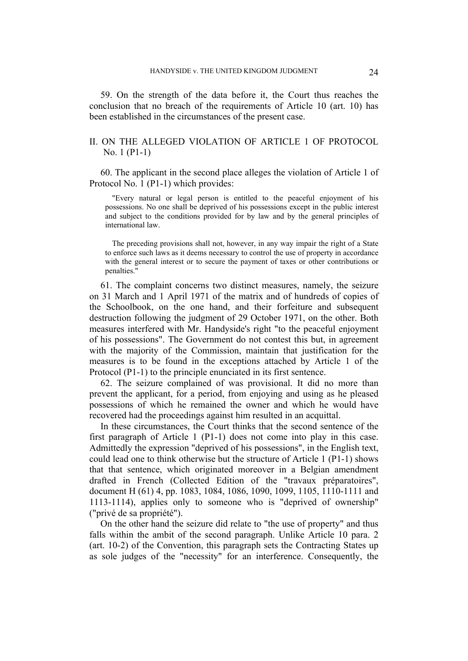59. On the strength of the data before it, the Court thus reaches the conclusion that no breach of the requirements of Article 10 (art. 10) has been established in the circumstances of the present case.

# II. ON THE ALLEGED VIOLATION OF ARTICLE 1 OF PROTOCOL No. 1 (P1-1)

60. The applicant in the second place alleges the violation of Article 1 of Protocol No. 1 (P1-1) which provides:

"Every natural or legal person is entitled to the peaceful enjoyment of his possessions. No one shall be deprived of his possessions except in the public interest and subject to the conditions provided for by law and by the general principles of international law.

The preceding provisions shall not, however, in any way impair the right of a State to enforce such laws as it deems necessary to control the use of property in accordance with the general interest or to secure the payment of taxes or other contributions or penalties."

61. The complaint concerns two distinct measures, namely, the seizure on 31 March and 1 April 1971 of the matrix and of hundreds of copies of the Schoolbook, on the one hand, and their forfeiture and subsequent destruction following the judgment of 29 October 1971, on the other. Both measures interfered with Mr. Handyside's right "to the peaceful enjoyment of his possessions". The Government do not contest this but, in agreement with the majority of the Commission, maintain that justification for the measures is to be found in the exceptions attached by Article 1 of the Protocol (P1-1) to the principle enunciated in its first sentence.

62. The seizure complained of was provisional. It did no more than prevent the applicant, for a period, from enjoying and using as he pleased possessions of which he remained the owner and which he would have recovered had the proceedings against him resulted in an acquittal.

In these circumstances, the Court thinks that the second sentence of the first paragraph of Article 1 (P1-1) does not come into play in this case. Admittedly the expression "deprived of his possessions", in the English text, could lead one to think otherwise but the structure of Article 1 (P1-1) shows that that sentence, which originated moreover in a Belgian amendment drafted in French (Collected Edition of the "travaux préparatoires", document H (61) 4, pp. 1083, 1084, 1086, 1090, 1099, 1105, 1110-1111 and 1113-1114), applies only to someone who is "deprived of ownership" ("privé de sa propriété").

On the other hand the seizure did relate to "the use of property" and thus falls within the ambit of the second paragraph. Unlike Article 10 para. 2 (art. 10-2) of the Convention, this paragraph sets the Contracting States up as sole judges of the "necessity" for an interference. Consequently, the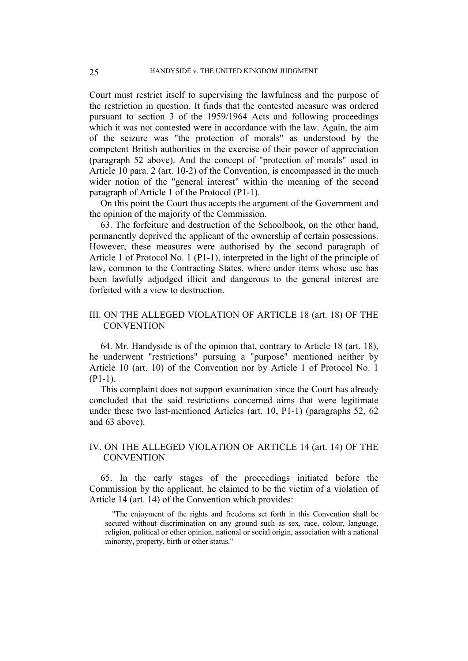Court must restrict itself to supervising the lawfulness and the purpose of the restriction in question. It finds that the contested measure was ordered pursuant to section 3 of the 1959/1964 Acts and following proceedings which it was not contested were in accordance with the law. Again, the aim of the seizure was "the protection of morals" as understood by the competent British authorities in the exercise of their power of appreciation (paragraph 52 above). And the concept of "protection of morals" used in Article 10 para. 2 (art. 10-2) of the Convention, is encompassed in the much wider notion of the "general interest" within the meaning of the second paragraph of Article 1 of the Protocol (P1-1).

On this point the Court thus accepts the argument of the Government and the opinion of the majority of the Commission.

63. The forfeiture and destruction of the Schoolbook, on the other hand, permanently deprived the applicant of the ownership of certain possessions. However, these measures were authorised by the second paragraph of Article 1 of Protocol No. 1 (P1-1), interpreted in the light of the principle of law, common to the Contracting States, where under items whose use has been lawfully adjudged illicit and dangerous to the general interest are forfeited with a view to destruction.

# III. ON THE ALLEGED VIOLATION OF ARTICLE 18 (art. 18) OF THE **CONVENTION**

64. Mr. Handyside is of the opinion that, contrary to Article 18 (art. 18), he underwent "restrictions" pursuing a "purpose" mentioned neither by Article 10 (art. 10) of the Convention nor by Article 1 of Protocol No. 1 (P1-1).

This complaint does not support examination since the Court has already concluded that the said restrictions concerned aims that were legitimate under these two last-mentioned Articles (art. 10, P1-1) (paragraphs 52, 62 and 63 above).

# IV. ON THE ALLEGED VIOLATION OF ARTICLE 14 (art. 14) OF THE **CONVENTION**

65. In the early stages of the proceedings initiated before the Commission by the applicant, he claimed to be the victim of a violation of Article 14 (art. 14) of the Convention which provides:

"The enjoyment of the rights and freedoms set forth in this Convention shall be secured without discrimination on any ground such as sex, race, colour, language, religion, political or other opinion, national or social origin, association with a national minority, property, birth or other status."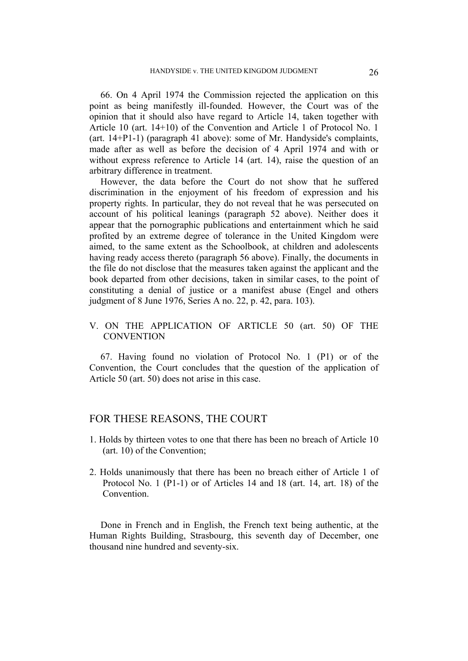66. On 4 April 1974 the Commission rejected the application on this point as being manifestly ill-founded. However, the Court was of the opinion that it should also have regard to Article 14, taken together with Article 10 (art. 14+10) of the Convention and Article 1 of Protocol No. 1 (art. 14+P1-1) (paragraph 41 above): some of Mr. Handyside's complaints, made after as well as before the decision of 4 April 1974 and with or without express reference to Article 14 (art. 14), raise the question of an arbitrary difference in treatment.

However, the data before the Court do not show that he suffered discrimination in the enjoyment of his freedom of expression and his property rights. In particular, they do not reveal that he was persecuted on account of his political leanings (paragraph 52 above). Neither does it appear that the pornographic publications and entertainment which he said profited by an extreme degree of tolerance in the United Kingdom were aimed, to the same extent as the Schoolbook, at children and adolescents having ready access thereto (paragraph 56 above). Finally, the documents in the file do not disclose that the measures taken against the applicant and the book departed from other decisions, taken in similar cases, to the point of constituting a denial of justice or a manifest abuse (Engel and others judgment of 8 June 1976, Series A no. 22, p. 42, para. 103).

### V. ON THE APPLICATION OF ARTICLE 50 (art. 50) OF THE **CONVENTION**

67. Having found no violation of Protocol No. 1 (P1) or of the Convention, the Court concludes that the question of the application of Article 50 (art. 50) does not arise in this case.

# FOR THESE REASONS, THE COURT

- 1. Holds by thirteen votes to one that there has been no breach of Article 10 (art. 10) of the Convention;
- 2. Holds unanimously that there has been no breach either of Article 1 of Protocol No. 1 (P1-1) or of Articles 14 and 18 (art. 14, art. 18) of the **Convention**

Done in French and in English, the French text being authentic, at the Human Rights Building, Strasbourg, this seventh day of December, one thousand nine hundred and seventy-six.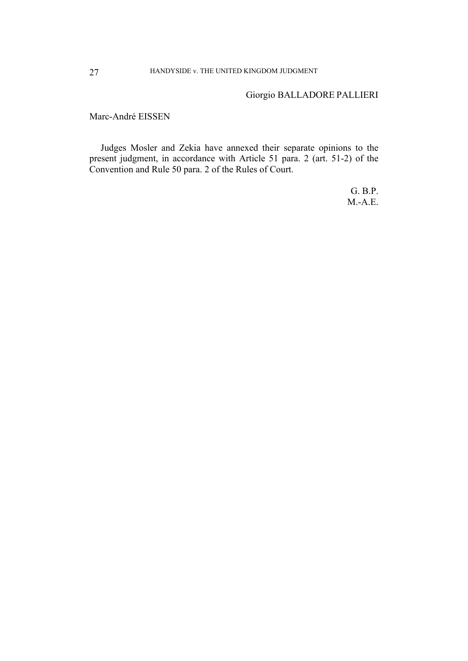Giorgio BALLADORE PALLIERI

Marc-André EISSEN

Judges Mosler and Zekia have annexed their separate opinions to the present judgment, in accordance with Article 51 para. 2 (art. 51-2) of the Convention and Rule 50 para. 2 of the Rules of Court.

> G. B.P. M.-A.E.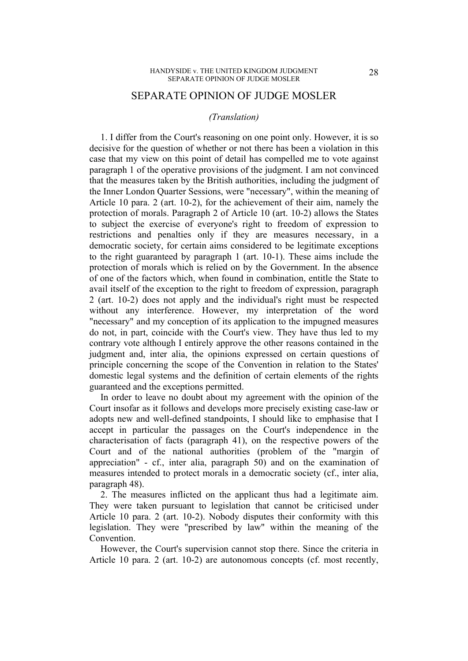# SEPARATE OPINION OF JUDGE MOSLER

### *(Translation)*

1. I differ from the Court's reasoning on one point only. However, it is so decisive for the question of whether or not there has been a violation in this case that my view on this point of detail has compelled me to vote against paragraph 1 of the operative provisions of the judgment. I am not convinced that the measures taken by the British authorities, including the judgment of the Inner London Quarter Sessions, were "necessary", within the meaning of Article 10 para. 2 (art. 10-2), for the achievement of their aim, namely the protection of morals. Paragraph 2 of Article 10 (art. 10-2) allows the States to subject the exercise of everyone's right to freedom of expression to restrictions and penalties only if they are measures necessary, in a democratic society, for certain aims considered to be legitimate exceptions to the right guaranteed by paragraph 1 (art. 10-1). These aims include the protection of morals which is relied on by the Government. In the absence of one of the factors which, when found in combination, entitle the State to avail itself of the exception to the right to freedom of expression, paragraph 2 (art. 10-2) does not apply and the individual's right must be respected without any interference. However, my interpretation of the word "necessary" and my conception of its application to the impugned measures do not, in part, coincide with the Court's view. They have thus led to my contrary vote although I entirely approve the other reasons contained in the judgment and, inter alia, the opinions expressed on certain questions of principle concerning the scope of the Convention in relation to the States' domestic legal systems and the definition of certain elements of the rights guaranteed and the exceptions permitted.

In order to leave no doubt about my agreement with the opinion of the Court insofar as it follows and develops more precisely existing case-law or adopts new and well-defined standpoints, I should like to emphasise that I accept in particular the passages on the Court's independence in the characterisation of facts (paragraph 41), on the respective powers of the Court and of the national authorities (problem of the "margin of appreciation" - cf., inter alia, paragraph 50) and on the examination of measures intended to protect morals in a democratic society (cf., inter alia, paragraph 48).

2. The measures inflicted on the applicant thus had a legitimate aim. They were taken pursuant to legislation that cannot be criticised under Article 10 para. 2 (art. 10-2). Nobody disputes their conformity with this legislation. They were "prescribed by law" within the meaning of the Convention.

However, the Court's supervision cannot stop there. Since the criteria in Article 10 para. 2 (art. 10-2) are autonomous concepts (cf. most recently,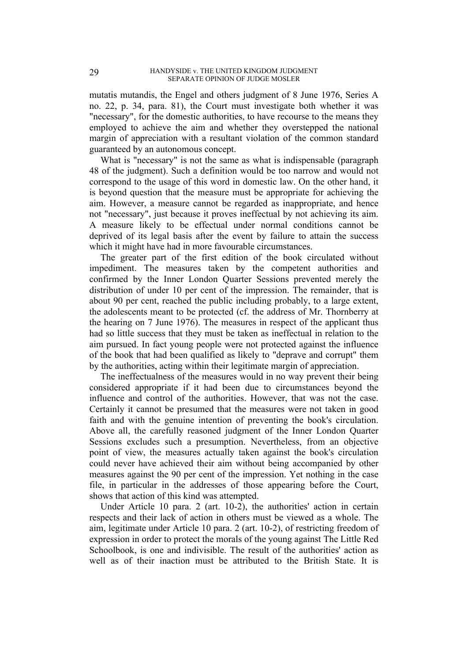mutatis mutandis, the Engel and others judgment of 8 June 1976, Series A no. 22, p. 34, para. 81), the Court must investigate both whether it was "necessary", for the domestic authorities, to have recourse to the means they employed to achieve the aim and whether they overstepped the national margin of appreciation with a resultant violation of the common standard guaranteed by an autonomous concept.

What is "necessary" is not the same as what is indispensable (paragraph 48 of the judgment). Such a definition would be too narrow and would not correspond to the usage of this word in domestic law. On the other hand, it is beyond question that the measure must be appropriate for achieving the aim. However, a measure cannot be regarded as inappropriate, and hence not "necessary", just because it proves ineffectual by not achieving its aim. A measure likely to be effectual under normal conditions cannot be deprived of its legal basis after the event by failure to attain the success which it might have had in more favourable circumstances.

The greater part of the first edition of the book circulated without impediment. The measures taken by the competent authorities and confirmed by the Inner London Quarter Sessions prevented merely the distribution of under 10 per cent of the impression. The remainder, that is about 90 per cent, reached the public including probably, to a large extent, the adolescents meant to be protected (cf. the address of Mr. Thornberry at the hearing on 7 June 1976). The measures in respect of the applicant thus had so little success that they must be taken as ineffectual in relation to the aim pursued. In fact young people were not protected against the influence of the book that had been qualified as likely to "deprave and corrupt" them by the authorities, acting within their legitimate margin of appreciation.

The ineffectualness of the measures would in no way prevent their being considered appropriate if it had been due to circumstances beyond the influence and control of the authorities. However, that was not the case. Certainly it cannot be presumed that the measures were not taken in good faith and with the genuine intention of preventing the book's circulation. Above all, the carefully reasoned judgment of the Inner London Quarter Sessions excludes such a presumption. Nevertheless, from an objective point of view, the measures actually taken against the book's circulation could never have achieved their aim without being accompanied by other measures against the 90 per cent of the impression. Yet nothing in the case file, in particular in the addresses of those appearing before the Court, shows that action of this kind was attempted.

Under Article 10 para. 2 (art. 10-2), the authorities' action in certain respects and their lack of action in others must be viewed as a whole. The aim, legitimate under Article 10 para. 2 (art. 10-2), of restricting freedom of expression in order to protect the morals of the young against The Little Red Schoolbook, is one and indivisible. The result of the authorities' action as well as of their inaction must be attributed to the British State. It is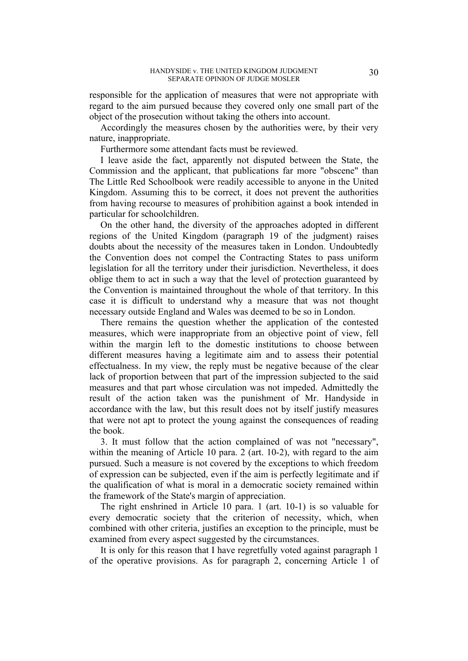responsible for the application of measures that were not appropriate with regard to the aim pursued because they covered only one small part of the object of the prosecution without taking the others into account.

Accordingly the measures chosen by the authorities were, by their very nature, inappropriate.

Furthermore some attendant facts must be reviewed.

I leave aside the fact, apparently not disputed between the State, the Commission and the applicant, that publications far more "obscene" than The Little Red Schoolbook were readily accessible to anyone in the United Kingdom. Assuming this to be correct, it does not prevent the authorities from having recourse to measures of prohibition against a book intended in particular for schoolchildren.

On the other hand, the diversity of the approaches adopted in different regions of the United Kingdom (paragraph 19 of the judgment) raises doubts about the necessity of the measures taken in London. Undoubtedly the Convention does not compel the Contracting States to pass uniform legislation for all the territory under their jurisdiction. Nevertheless, it does oblige them to act in such a way that the level of protection guaranteed by the Convention is maintained throughout the whole of that territory. In this case it is difficult to understand why a measure that was not thought necessary outside England and Wales was deemed to be so in London.

There remains the question whether the application of the contested measures, which were inappropriate from an objective point of view, fell within the margin left to the domestic institutions to choose between different measures having a legitimate aim and to assess their potential effectualness. In my view, the reply must be negative because of the clear lack of proportion between that part of the impression subjected to the said measures and that part whose circulation was not impeded. Admittedly the result of the action taken was the punishment of Mr. Handyside in accordance with the law, but this result does not by itself justify measures that were not apt to protect the young against the consequences of reading the book.

3. It must follow that the action complained of was not "necessary", within the meaning of Article 10 para. 2 (art. 10-2), with regard to the aim pursued. Such a measure is not covered by the exceptions to which freedom of expression can be subjected, even if the aim is perfectly legitimate and if the qualification of what is moral in a democratic society remained within the framework of the State's margin of appreciation.

The right enshrined in Article 10 para. 1 (art. 10-1) is so valuable for every democratic society that the criterion of necessity, which, when combined with other criteria, justifies an exception to the principle, must be examined from every aspect suggested by the circumstances.

It is only for this reason that I have regretfully voted against paragraph 1 of the operative provisions. As for paragraph 2, concerning Article 1 of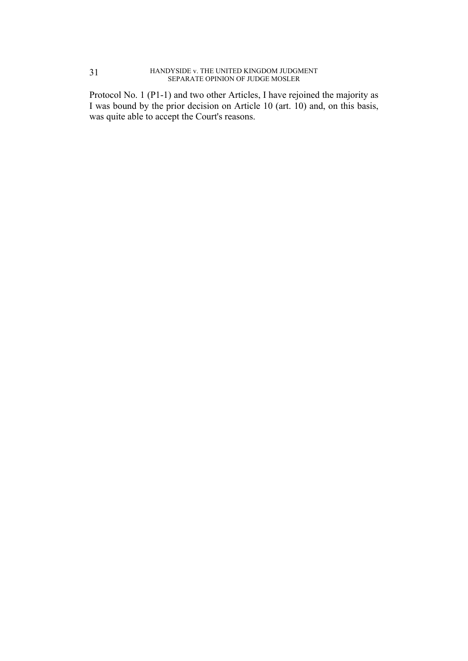Protocol No. 1 (P1-1) and two other Articles, I have rejoined the majority as I was bound by the prior decision on Article 10 (art. 10) and, on this basis, was quite able to accept the Court's reasons.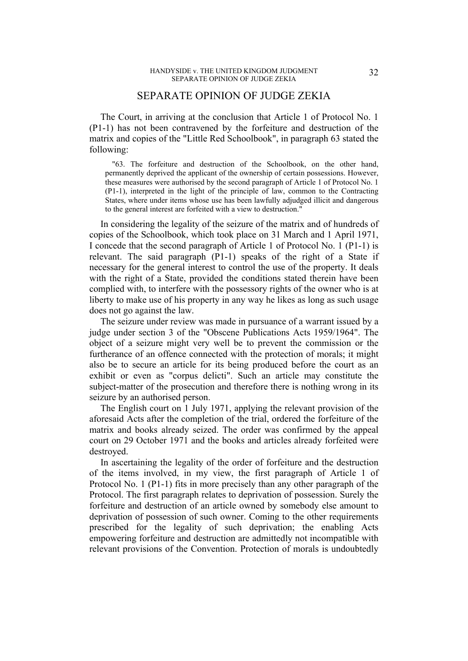# SEPARATE OPINION OF JUDGE ZEKIA

The Court, in arriving at the conclusion that Article 1 of Protocol No. 1 (P1-1) has not been contravened by the forfeiture and destruction of the matrix and copies of the "Little Red Schoolbook", in paragraph 63 stated the following:

"63. The forfeiture and destruction of the Schoolbook, on the other hand, permanently deprived the applicant of the ownership of certain possessions. However, these measures were authorised by the second paragraph of Article 1 of Protocol No. 1 (P1-1), interpreted in the light of the principle of law, common to the Contracting States, where under items whose use has been lawfully adjudged illicit and dangerous to the general interest are forfeited with a view to destruction."

In considering the legality of the seizure of the matrix and of hundreds of copies of the Schoolbook, which took place on 31 March and 1 April 1971, I concede that the second paragraph of Article 1 of Protocol No. 1 (P1-1) is relevant. The said paragraph (P1-1) speaks of the right of a State if necessary for the general interest to control the use of the property. It deals with the right of a State, provided the conditions stated therein have been complied with, to interfere with the possessory rights of the owner who is at liberty to make use of his property in any way he likes as long as such usage does not go against the law.

The seizure under review was made in pursuance of a warrant issued by a judge under section 3 of the "Obscene Publications Acts 1959/1964". The object of a seizure might very well be to prevent the commission or the furtherance of an offence connected with the protection of morals; it might also be to secure an article for its being produced before the court as an exhibit or even as "corpus delicti". Such an article may constitute the subject-matter of the prosecution and therefore there is nothing wrong in its seizure by an authorised person.

The English court on 1 July 1971, applying the relevant provision of the aforesaid Acts after the completion of the trial, ordered the forfeiture of the matrix and books already seized. The order was confirmed by the appeal court on 29 October 1971 and the books and articles already forfeited were destroyed.

In ascertaining the legality of the order of forfeiture and the destruction of the items involved, in my view, the first paragraph of Article 1 of Protocol No. 1 (P1-1) fits in more precisely than any other paragraph of the Protocol. The first paragraph relates to deprivation of possession. Surely the forfeiture and destruction of an article owned by somebody else amount to deprivation of possession of such owner. Coming to the other requirements prescribed for the legality of such deprivation; the enabling Acts empowering forfeiture and destruction are admittedly not incompatible with relevant provisions of the Convention. Protection of morals is undoubtedly